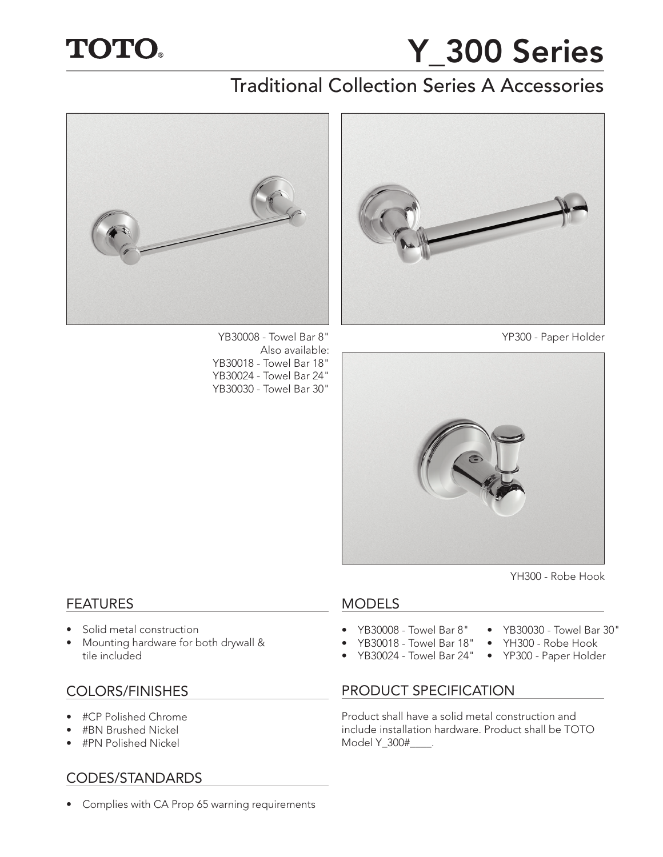# **TOTO.**

# Y\_300 Series

# Traditional Collection Series A Accessories



YB30008 - Towel Bar 8" YP300 - Paper Holder Also available: YB30018 - Towel Bar 18" YB30024 - Towel Bar 24" YB30030 - Towel Bar 30"





YH300 - Robe Hook

• YB30030 - Towel Bar 30" • YH300 - Robe Hook • YP300 - Paper Holder

### MODELS

- YB30008 Towel Bar 8"
- YB30018 Towel Bar 18"
- YB30024 Towel Bar 24"

# COLORS/FINISHES PRODUCT SPECIFICATION

Product shall have a solid metal construction and include installation hardware. Product shall be TOTO Model Y\_300#\_\_\_\_.

# **FEATURES**

- Solid metal construction
- Mounting hardware for both drywall & tile included

- #CP Polished Chrome
- #BN Brushed Nickel
- #PN Polished Nickel

# CODES/STANDARDS

• Complies with CA Prop 65 warning requirements